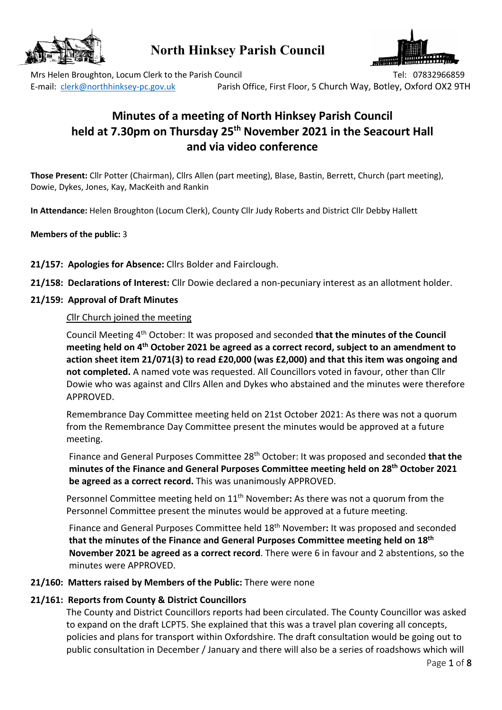

# **North Hinksey Parish Council**



Mrs Helen Broughton, Locum Clerk to the Parish Council Tel: 07832966859 Tel: 07832966859 E-mail: clerk@northhinksey-pc.gov.uk Parish Office, First Floor, 5 Church Way, Botley, Oxford OX2 9TH

# **Minutes of a meeting of North Hinksey Parish Council held at 7.30pm on Thursday 25th November 2021 in the Seacourt Hall and via video conference**

**Those Present:** Cllr Potter (Chairman), Cllrs Allen (part meeting), Blase, Bastin, Berrett, Church (part meeting), Dowie, Dykes, Jones, Kay, MacKeith and Rankin

**In Attendance:** Helen Broughton (Locum Clerk), County Cllr Judy Roberts and District Cllr Debby Hallett

#### **Members of the public:** 3

- **21/157: Apologies for Absence:** Cllrs Bolder and Fairclough.
- **21/158: Declarations of Interest:** Cllr Dowie declared a non-pecuniary interest as an allotment holder.
- **21/159: Approval of Draft Minutes**

### *C*llr Church joined the meeting

Council Meeting 4th October: It was proposed and seconded **that the minutes of the Council meeting held on 4th October 2021 be agreed as a correct record, subject to an amendment to action sheet item 21/071(3) to read £20,000 (was £2,000) and that this item was ongoing and not completed.** A named vote was requested. All Councillors voted in favour, other than Cllr Dowie who was against and Cllrs Allen and Dykes who abstained and the minutes were therefore APPROVED.

Remembrance Day Committee meeting held on 21st October 2021: As there was not a quorum from the Remembrance Day Committee present the minutes would be approved at a future meeting.

Finance and General Purposes Committee 28th October: It was proposed and seconded **that the minutes of the Finance and General Purposes Committee meeting held on 28th October 2021 be agreed as a correct record.** This was unanimously APPROVED.

Personnel Committee meeting held on 11th November**:** As there was not a quorum from the Personnel Committee present the minutes would be approved at a future meeting.

Finance and General Purposes Committee held 18th November**:** It was proposed and seconded **that the minutes of the Finance and General Purposes Committee meeting held on 18th November 2021 be agreed as a correct record**. There were 6 in favour and 2 abstentions, so the minutes were APPROVED.

# **21/160: Matters raised by Members of the Public:** There were none

# **21/161: Reports from County & District Councillors**

The County and District Councillors reports had been circulated. The County Councillor was asked to expand on the draft LCPT5. She explained that this was a travel plan covering all concepts, policies and plans for transport within Oxfordshire. The draft consultation would be going out to public consultation in December / January and there will also be a series of roadshows which will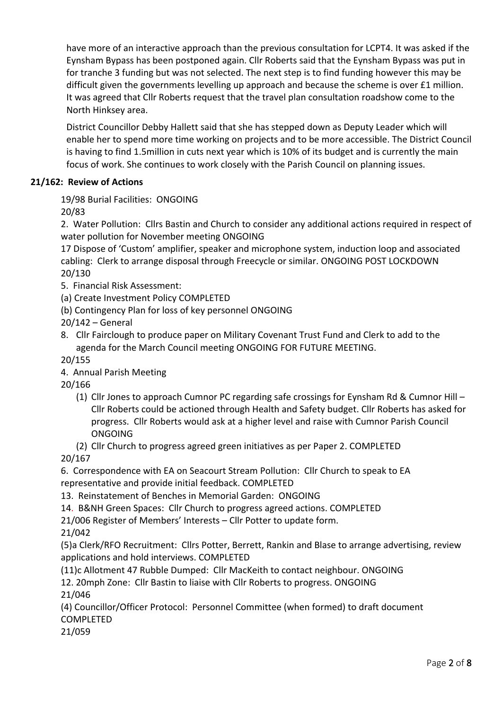have more of an interactive approach than the previous consultation for LCPT4. It was asked if the Eynsham Bypass has been postponed again. Cllr Roberts said that the Eynsham Bypass was put in for tranche 3 funding but was not selected. The next step is to find funding however this may be difficult given the governments levelling up approach and because the scheme is over £1 million. It was agreed that Cllr Roberts request that the travel plan consultation roadshow come to the North Hinksey area.

District Councillor Debby Hallett said that she has stepped down as Deputy Leader which will enable her to spend more time working on projects and to be more accessible. The District Council is having to find 1.5million in cuts next year which is 10% of its budget and is currently the main focus of work. She continues to work closely with the Parish Council on planning issues.

# **21/162: Review of Actions**

19/98 Burial Facilities: ONGOING

20/83

2. Water Pollution: Cllrs Bastin and Church to consider any additional actions required in respect of water pollution for November meeting ONGOING

17 Dispose of 'Custom' amplifier, speaker and microphone system, induction loop and associated cabling: Clerk to arrange disposal through Freecycle or similar. ONGOING POST LOCKDOWN 20/130

- 5. Financial Risk Assessment:
- (a) Create Investment Policy COMPLETED
- (b) Contingency Plan for loss of key personnel ONGOING
- 20/142 General
- 8. Cllr Fairclough to produce paper on Military Covenant Trust Fund and Clerk to add to the agenda for the March Council meeting ONGOING FOR FUTURE MEETING.

20/155

4. Annual Parish Meeting

20/166

- (1) Cllr Jones to approach Cumnor PC regarding safe crossings for Eynsham Rd & Cumnor Hill Cllr Roberts could be actioned through Health and Safety budget. Cllr Roberts has asked for progress. Cllr Roberts would ask at a higher level and raise with Cumnor Parish Council ONGOING
- (2) Cllr Church to progress agreed green initiatives as per Paper 2. COMPLETED

20/167

6. Correspondence with EA on Seacourt Stream Pollution: Cllr Church to speak to EA representative and provide initial feedback. COMPLETED

13. Reinstatement of Benches in Memorial Garden: ONGOING

14. B&NH Green Spaces: Cllr Church to progress agreed actions. COMPLETED

21/006 Register of Members' Interests – Cllr Potter to update form.

21/042

(5)a Clerk/RFO Recruitment: Cllrs Potter, Berrett, Rankin and Blase to arrange advertising, review applications and hold interviews. COMPLETED

(11)c Allotment 47 Rubble Dumped: Cllr MacKeith to contact neighbour. ONGOING

12. 20mph Zone: Cllr Bastin to liaise with Cllr Roberts to progress. ONGOING

21/046

(4) Councillor/Officer Protocol: Personnel Committee (when formed) to draft document COMPLETED

21/059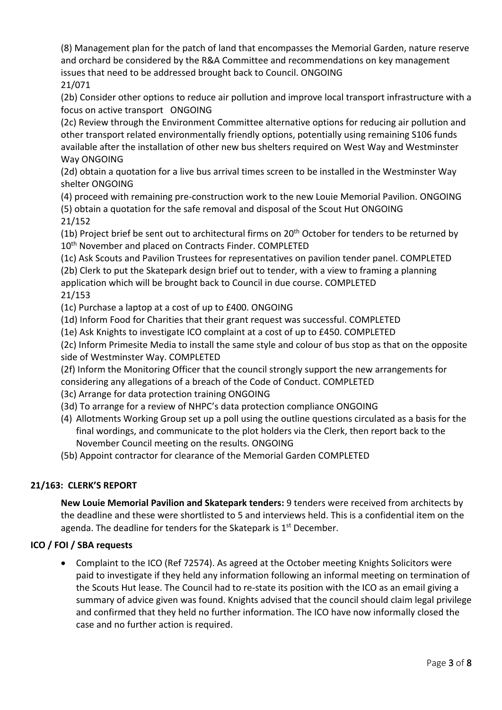(8) Management plan for the patch of land that encompasses the Memorial Garden, nature reserve and orchard be considered by the R&A Committee and recommendations on key management issues that need to be addressed brought back to Council. ONGOING

21/071

(2b) Consider other options to reduce air pollution and improve local transport infrastructure with a focus on active transport ONGOING

(2c) Review through the Environment Committee alternative options for reducing air pollution and other transport related environmentally friendly options, potentially using remaining S106 funds available after the installation of other new bus shelters required on West Way and Westminster Way ONGOING

(2d) obtain a quotation for a live bus arrival times screen to be installed in the Westminster Way shelter ONGOING

(4) proceed with remaining pre-construction work to the new Louie Memorial Pavilion. ONGOING (5) obtain a quotation for the safe removal and disposal of the Scout Hut ONGOING 21/152

(1b) Project brief be sent out to architectural firms on 20<sup>th</sup> October for tenders to be returned by 10<sup>th</sup> November and placed on Contracts Finder. COMPLETED

(1c) Ask Scouts and Pavilion Trustees for representatives on pavilion tender panel. COMPLETED

(2b) Clerk to put the Skatepark design brief out to tender, with a view to framing a planning application which will be brought back to Council in due course. COMPLETED

# 21/153

(1c) Purchase a laptop at a cost of up to £400. ONGOING

(1d) Inform Food for Charities that their grant request was successful. COMPLETED

(1e) Ask Knights to investigate ICO complaint at a cost of up to £450. COMPLETED

(2c) Inform Primesite Media to install the same style and colour of bus stop as that on the opposite side of Westminster Way. COMPLETED

(2f) Inform the Monitoring Officer that the council strongly support the new arrangements for

considering any allegations of a breach of the Code of Conduct. COMPLETED

(3c) Arrange for data protection training ONGOING

(3d) To arrange for a review of NHPC's data protection compliance ONGOING

(4) Allotments Working Group set up a poll using the outline questions circulated as a basis for the final wordings, and communicate to the plot holders via the Clerk, then report back to the November Council meeting on the results. ONGOING

(5b) Appoint contractor for clearance of the Memorial Garden COMPLETED

# **21/163: CLERK'S REPORT**

**New Louie Memorial Pavilion and Skatepark tenders:** 9 tenders were received from architects by the deadline and these were shortlisted to 5 and interviews held. This is a confidential item on the agenda. The deadline for tenders for the Skatepark is  $1<sup>st</sup>$  December.

# **ICO / FOI / SBA requests**

• Complaint to the ICO (Ref 72574). As agreed at the October meeting Knights Solicitors were paid to investigate if they held any information following an informal meeting on termination of the Scouts Hut lease. The Council had to re-state its position with the ICO as an email giving a summary of advice given was found. Knights advised that the council should claim legal privilege and confirmed that they held no further information. The ICO have now informally closed the case and no further action is required.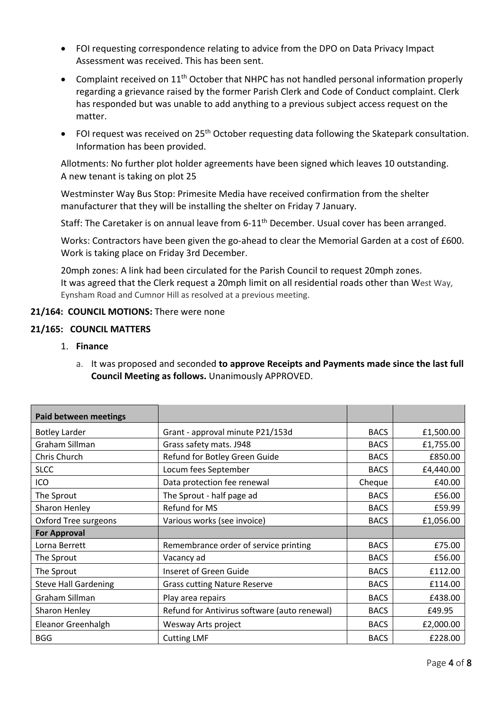- FOI requesting correspondence relating to advice from the DPO on Data Privacy Impact Assessment was received. This has been sent.
- Complaint received on  $11<sup>th</sup>$  October that NHPC has not handled personal information properly regarding a grievance raised by the former Parish Clerk and Code of Conduct complaint. Clerk has responded but was unable to add anything to a previous subject access request on the matter.
- FOI request was received on  $25<sup>th</sup>$  October requesting data following the Skatepark consultation. Information has been provided.

Allotments: No further plot holder agreements have been signed which leaves 10 outstanding. A new tenant is taking on plot 25

Westminster Way Bus Stop: Primesite Media have received confirmation from the shelter manufacturer that they will be installing the shelter on Friday 7 January.

Staff: The Caretaker is on annual leave from 6-11<sup>th</sup> December. Usual cover has been arranged.

Works: Contractors have been given the go-ahead to clear the Memorial Garden at a cost of £600. Work is taking place on Friday 3rd December.

20mph zones: A link had been circulated for the Parish Council to request 20mph zones. It was agreed that the Clerk request a 20mph limit on all residential roads other than West Way, Eynsham Road and Cumnor Hill as resolved at a previous meeting.

### 21/164: COUNCIL MOTIONS: There were none

#### **21/165: COUNCIL MATTERS**

- 1. **Finance** 
	- a. It was proposed and seconded **to approve Receipts and Payments made since the last full Council Meeting as follows.** Unanimously APPROVED.

| <b>Paid between meetings</b> |                                              |             |           |
|------------------------------|----------------------------------------------|-------------|-----------|
| <b>Botley Larder</b>         | Grant - approval minute P21/153d             | <b>BACS</b> | £1,500.00 |
| Graham Sillman               | Grass safety mats. J948                      | <b>BACS</b> | £1,755.00 |
| Chris Church                 | Refund for Botley Green Guide                | <b>BACS</b> | £850.00   |
| <b>SLCC</b>                  | Locum fees September                         | <b>BACS</b> | £4,440.00 |
| ICO                          | Data protection fee renewal                  | Cheque      | £40.00    |
| The Sprout                   | The Sprout - half page ad                    | <b>BACS</b> | £56.00    |
| Sharon Henley                | Refund for MS                                | <b>BACS</b> | £59.99    |
| Oxford Tree surgeons         | Various works (see invoice)                  | <b>BACS</b> | £1,056.00 |
| <b>For Approval</b>          |                                              |             |           |
| Lorna Berrett                | Remembrance order of service printing        | <b>BACS</b> | £75.00    |
| The Sprout                   | Vacancy ad                                   | <b>BACS</b> | £56.00    |
| The Sprout                   | Inseret of Green Guide                       | <b>BACS</b> | £112.00   |
| <b>Steve Hall Gardening</b>  | <b>Grass cutting Nature Reserve</b>          | <b>BACS</b> | £114.00   |
| Graham Sillman               | Play area repairs                            | <b>BACS</b> | £438.00   |
| Sharon Henley                | Refund for Antivirus software (auto renewal) | <b>BACS</b> | £49.95    |
| Eleanor Greenhalgh           | Wesway Arts project                          | <b>BACS</b> | £2,000.00 |
| <b>BGG</b>                   | <b>Cutting LMF</b>                           | <b>BACS</b> | £228.00   |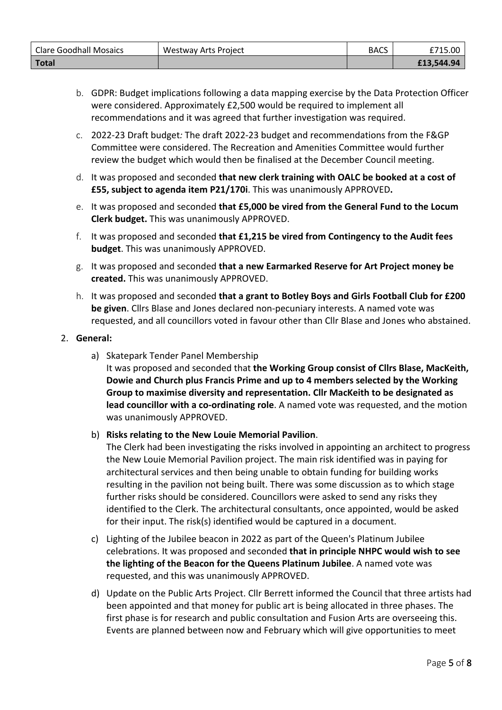| <b>Clare Goodhall Mosaics</b> | Westway Arts Project | <b>BACS</b> | £715.00    |
|-------------------------------|----------------------|-------------|------------|
| <b>Total</b>                  |                      |             | £13,544.94 |

- b. GDPR: Budget implications following a data mapping exercise by the Data Protection Officer were considered. Approximately £2,500 would be required to implement all recommendations and it was agreed that further investigation was required.
- c. 2022-23 Draft budget*:* The draft 2022-23 budget and recommendations from the F&GP Committee were considered. The Recreation and Amenities Committee would further review the budget which would then be finalised at the December Council meeting.
- d. It was proposed and seconded **that new clerk training with OALC be booked at a cost of £55, subject to agenda item P21/170i**. This was unanimously APPROVED**.**
- e. It was proposed and seconded **that £5,000 be vired from the General Fund to the Locum Clerk budget.** This was unanimously APPROVED.
- f. It was proposed and seconded **that £1,215 be vired from Contingency to the Audit fees budget**. This was unanimously APPROVED.
- g. It was proposed and seconded **that a new Earmarked Reserve for Art Project money be created.** This was unanimously APPROVED.
- h. It was proposed and seconded **that a grant to Botley Boys and Girls Football Club for £200 be given**. Cllrs Blase and Jones declared non-pecuniary interests. A named vote was requested, and all councillors voted in favour other than Cllr Blase and Jones who abstained.

### 2. **General:**

a) Skatepark Tender Panel Membership It was proposed and seconded that **the Working Group consist of Cllrs Blase, MacKeith, Dowie and Church plus Francis Prime and up to 4 members selected by the Working Group to maximise diversity and representation. Cllr MacKeith to be designated as lead councillor with a co-ordinating role**. A named vote was requested, and the motion was unanimously APPROVED.

# b) **Risks relating to the New Louie Memorial Pavilion**.

The Clerk had been investigating the risks involved in appointing an architect to progress the New Louie Memorial Pavilion project. The main risk identified was in paying for architectural services and then being unable to obtain funding for building works resulting in the pavilion not being built. There was some discussion as to which stage further risks should be considered. Councillors were asked to send any risks they identified to the Clerk. The architectural consultants, once appointed, would be asked for their input. The risk(s) identified would be captured in a document.

- c) Lighting of the Jubilee beacon in 2022 as part of the Queen's Platinum Jubilee celebrations. It was proposed and seconded **that in principle NHPC would wish to see the lighting of the Beacon for the Queens Platinum Jubilee**. A named vote was requested, and this was unanimously APPROVED.
- d) Update on the Public Arts Project. Cllr Berrett informed the Council that three artists had been appointed and that money for public art is being allocated in three phases. The first phase is for research and public consultation and Fusion Arts are overseeing this. Events are planned between now and February which will give opportunities to meet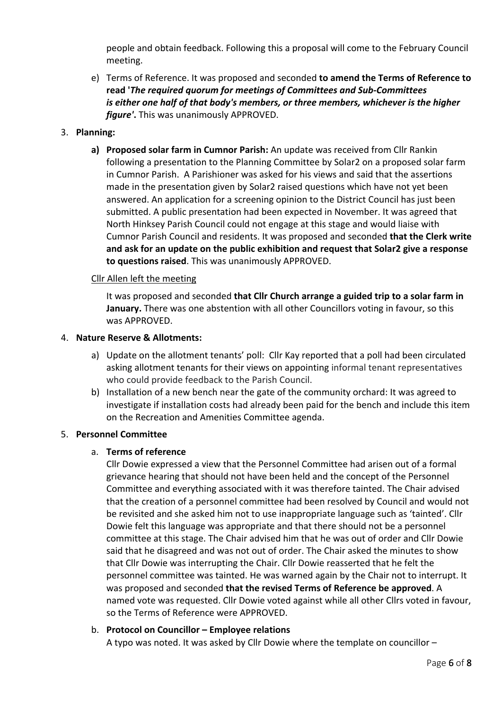people and obtain feedback. Following this a proposal will come to the February Council meeting.

e) Terms of Reference. It was proposed and seconded **to amend the Terms of Reference to read '***The required quorum for meetings of Committees and Sub-Committees is either one half of that body's members, or three members, whichever is the higher figure'***.** This was unanimously APPROVED.

## 3. **Planning:**

**a) Proposed solar farm in Cumnor Parish:** An update was received from Cllr Rankin following a presentation to the Planning Committee by Solar2 on a proposed solar farm in Cumnor Parish. A Parishioner was asked for his views and said that the assertions made in the presentation given by Solar2 raised questions which have not yet been answered. An application for a screening opinion to the District Council has just been submitted. A public presentation had been expected in November. It was agreed that North Hinksey Parish Council could not engage at this stage and would liaise with Cumnor Parish Council and residents. It was proposed and seconded **that the Clerk write and ask for an update on the public exhibition and request that Solar2 give a response to questions raised**. This was unanimously APPROVED.

### Cllr Allen left the meeting

It was proposed and seconded **that Cllr Church arrange a guided trip to a solar farm in January.** There was one abstention with all other Councillors voting in favour, so this was APPROVED.

#### 4. **Nature Reserve & Allotments:**

- a) Update on the allotment tenants' poll: Cllr Kay reported that a poll had been circulated asking allotment tenants for their views on appointing informal tenant representatives who could provide feedback to the Parish Council.
- b) Installation of a new bench near the gate of the community orchard: It was agreed to investigate if installation costs had already been paid for the bench and include this item on the Recreation and Amenities Committee agenda.

# 5. **Personnel Committee**

#### a. **Terms of reference**

Cllr Dowie expressed a view that the Personnel Committee had arisen out of a formal grievance hearing that should not have been held and the concept of the Personnel Committee and everything associated with it was therefore tainted. The Chair advised that the creation of a personnel committee had been resolved by Council and would not be revisited and she asked him not to use inappropriate language such as 'tainted'. Cllr Dowie felt this language was appropriate and that there should not be a personnel committee at this stage. The Chair advised him that he was out of order and Cllr Dowie said that he disagreed and was not out of order. The Chair asked the minutes to show that Cllr Dowie was interrupting the Chair. Cllr Dowie reasserted that he felt the personnel committee was tainted. He was warned again by the Chair not to interrupt. It was proposed and seconded **that the revised Terms of Reference be approved**. A named vote was requested. Cllr Dowie voted against while all other Cllrs voted in favour, so the Terms of Reference were APPROVED.

# b. **Protocol on Councillor – Employee relations**

A typo was noted. It was asked by Cllr Dowie where the template on councillor –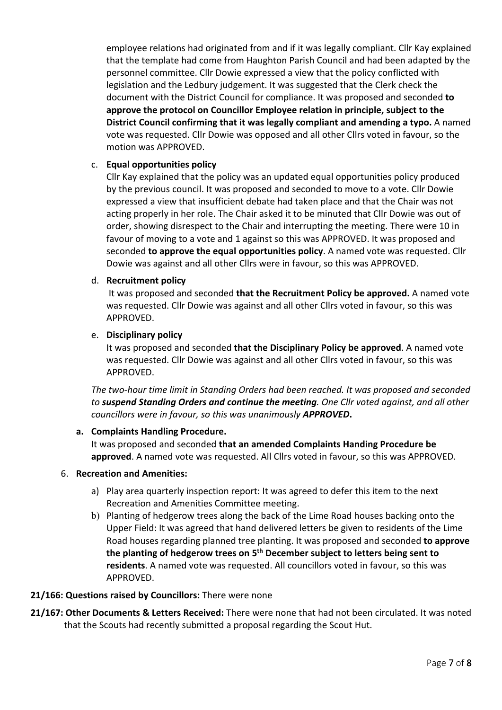employee relations had originated from and if it was legally compliant. Cllr Kay explained that the template had come from Haughton Parish Council and had been adapted by the personnel committee. Cllr Dowie expressed a view that the policy conflicted with legislation and the Ledbury judgement. It was suggested that the Clerk check the document with the District Council for compliance. It was proposed and seconded **to approve the protocol on Councillor Employee relation in principle, subject to the District Council confirming that it was legally compliant and amending a typo.** A named vote was requested. Cllr Dowie was opposed and all other Cllrs voted in favour, so the motion was APPROVED.

#### c. **Equal opportunities policy**

Cllr Kay explained that the policy was an updated equal opportunities policy produced by the previous council. It was proposed and seconded to move to a vote. Cllr Dowie expressed a view that insufficient debate had taken place and that the Chair was not acting properly in her role. The Chair asked it to be minuted that Cllr Dowie was out of order, showing disrespect to the Chair and interrupting the meeting. There were 10 in favour of moving to a vote and 1 against so this was APPROVED. It was proposed and seconded **to approve the equal opportunities policy**. A named vote was requested. Cllr Dowie was against and all other Cllrs were in favour, so this was APPROVED.

### d. **Recruitment policy**

It was proposed and seconded **that the Recruitment Policy be approved.** A named vote was requested. Cllr Dowie was against and all other Cllrs voted in favour, so this was APPROVED.

#### e. **Disciplinary policy**

It was proposed and seconded **that the Disciplinary Policy be approved**. A named vote was requested. Cllr Dowie was against and all other Cllrs voted in favour, so this was APPROVED.

*The two-hour time limit in Standing Orders had been reached. It was proposed and seconded to suspend Standing Orders and continue the meeting. One Cllr voted against, and all other councillors were in favour, so this was unanimously APPROVED***.**

# **a. Complaints Handling Procedure.**

It was proposed and seconded **that an amended Complaints Handing Procedure be approved**. A named vote was requested. All Cllrs voted in favour, so this was APPROVED.

#### 6. **Recreation and Amenities:**

- a) Play area quarterly inspection report: It was agreed to defer this item to the next Recreation and Amenities Committee meeting.
- b) Planting of hedgerow trees along the back of the Lime Road houses backing onto the Upper Field: It was agreed that hand delivered letters be given to residents of the Lime Road houses regarding planned tree planting. It was proposed and seconded **to approve the planting of hedgerow trees on 5th December subject to letters being sent to residents**. A named vote was requested. All councillors voted in favour, so this was APPROVED.

# **21/166: Questions raised by Councillors:** There were none

**21/167: Other Documents & Letters Received:** There were none that had not been circulated. It was noted that the Scouts had recently submitted a proposal regarding the Scout Hut.